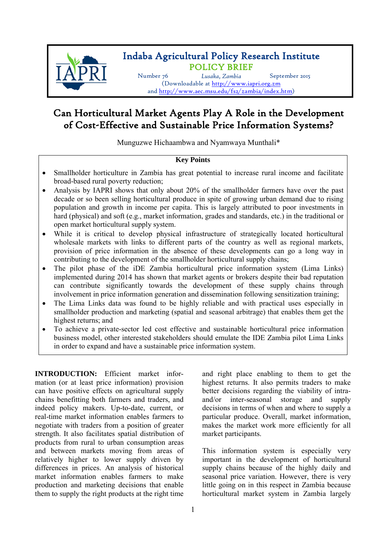

# Indaba Agricultural Policy Research Institute POLICY BRIEF Number 76 *Lusaka, Zambia* September <sup>2015</sup>

(Downloadable at <http://www.iapri.org.zm> and [http://www.aec.msu.edu/fs2/zambia/index.htm\)](http://www.aec.msu.edu/fs2/zambia/index.htm)

## Can Horticultural Market Agents Play A Role in the Development of Cost-Effective and Sustainable Price Information Systems?

Munguzwe Hichaambwa and Nyamwaya Munthali\*

### **Key Points**

- Smallholder horticulture in Zambia has great potential to increase rural income and facilitate broad-based rural poverty reduction;
- Analysis by IAPRI shows that only about 20% of the smallholder farmers have over the past decade or so been selling horticultural produce in spite of growing urban demand due to rising population and growth in income per capita. This is largely attributed to poor investments in hard (physical) and soft (e.g., market information, grades and standards, etc.) in the traditional or open market horticultural supply system.
- While it is critical to develop physical infrastructure of strategically located horticultural wholesale markets with links to different parts of the country as well as regional markets, provision of price information in the absence of these developments can go a long way in contributing to the development of the smallholder horticultural supply chains;
- The pilot phase of the iDE Zambia horticultural price information system (Lima Links) implemented during 2014 has shown that market agents or brokers despite their bad reputation can contribute significantly towards the development of these supply chains through involvement in price information generation and dissemination following sensitization training;
- The Lima Links data was found to be highly reliable and with practical uses especially in smallholder production and marketing (spatial and seasonal arbitrage) that enables them get the highest returns; and
- To achieve a private-sector led cost effective and sustainable horticultural price information business model, other interested stakeholders should emulate the IDE Zambia pilot Lima Links in order to expand and have a sustainable price information system.

**INTRODUCTION:** Efficient market information (or at least price information) provision can have positive effects on agricultural supply chains benefitting both farmers and traders, and indeed policy makers. Up-to-date, current, or real-time market information enables farmers to negotiate with traders from a position of greater strength. It also facilitates spatial distribution of products from rural to urban consumption areas and between markets moving from areas of relatively higher to lower supply driven by differences in prices. An analysis of historical market information enables farmers to make production and marketing decisions that enable them to supply the right products at the right time and right place enabling to them to get the highest returns. It also permits traders to make better decisions regarding the viability of intraand/or inter-seasonal storage and supply decisions in terms of when and where to supply a particular produce. Overall, market information, makes the market work more efficiently for all market participants.

This information system is especially very important in the development of horticultural supply chains because of the highly daily and seasonal price variation. However, there is very little going on in this respect in Zambia because horticultural market system in Zambia largely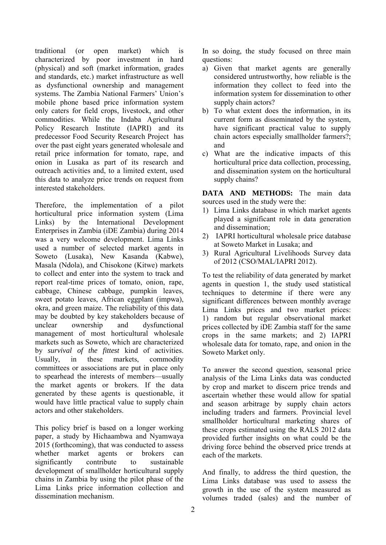traditional (or open market) which is characterized by poor investment in hard (physical) and soft (market information, grades and standards, etc.) market infrastructure as well as dysfunctional ownership and management systems. The Zambia National Farmers' Union's mobile phone based price information system only caters for field crops, livestock, and other commodities. While the Indaba Agricultural Policy Research Institute (IAPRI) and its predecessor Food Security Research Project has over the past eight years generated wholesale and retail price information for tomato, rape, and onion in Lusaka as part of its research and outreach activities and, to a limited extent, used this data to analyze price trends on request from interested stakeholders.

Therefore, the implementation of a pilot horticultural price information system (Lima Links) by the International Development Enterprises in Zambia (iDE Zambia) during 2014 was a very welcome development. Lima Links used a number of selected market agents in Soweto (Lusaka), New Kasanda (Kabwe), Masala (Ndola), and Chisokone (Kitwe) markets to collect and enter into the system to track and report real-time prices of tomato, onion, rape, cabbage, Chinese cabbage, pumpkin leaves, sweet potato leaves, African eggplant (impwa), okra, and green maize. The reliability of this data may be doubted by key stakeholders because of unclear ownership and dysfunctional management of most horticultural wholesale markets such as Soweto, which are characterized by *survival of the fittest* kind of activities. Usually, in these markets, commodity committees or associations are put in place only to spearhead the interests of members—usually the market agents or brokers. If the data generated by these agents is questionable, it would have little practical value to supply chain actors and other stakeholders.

This policy brief is based on a longer working paper, a study by Hichaambwa and Nyamwaya 2015 (forthcoming), that was conducted to assess whether market agents or brokers can significantly contribute to sustainable development of smallholder horticultural supply chains in Zambia by using the pilot phase of the Lima Links price information collection and dissemination mechanism.

In so doing, the study focused on three main questions:

- a) Given that market agents are generally considered untrustworthy, how reliable is the information they collect to feed into the information system for dissemination to other supply chain actors?
- b) To what extent does the information, in its current form as disseminated by the system, have significant practical value to supply chain actors especially smallholder farmers?; and
- c) What are the indicative impacts of this horticultural price data collection, processing, and dissemination system on the horticultural supply chains?

**DATA AND METHODS:** The main data sources used in the study were the:

- 1) Lima Links database in which market agents played a significant role in data generation and dissemination;
- 2) IAPRI horticultural wholesale price database at Soweto Market in Lusaka; and
- 3) Rural Agricultural Livelihoods Survey data of 2012 (CSO/MAL/IAPRI 2012).

To test the reliability of data generated by market agents in question 1, the study used statistical techniques to determine if there were any significant differences between monthly average Lima Links prices and two market prices: 1) random but regular observational market prices collected by iDE Zambia staff for the same crops in the same markets; and 2) IAPRI wholesale data for tomato, rape, and onion in the Soweto Market only.

To answer the second question, seasonal price analysis of the Lima Links data was conducted by crop and market to discern price trends and ascertain whether these would allow for spatial and season arbitrage by supply chain actors including traders and farmers. Provincial level smallholder horticultural marketing shares of these crops estimated using the RALS 2012 data provided further insights on what could be the driving force behind the observed price trends at each of the markets.

And finally, to address the third question, the Lima Links database was used to assess the growth in the use of the system measured as volumes traded (sales) and the number of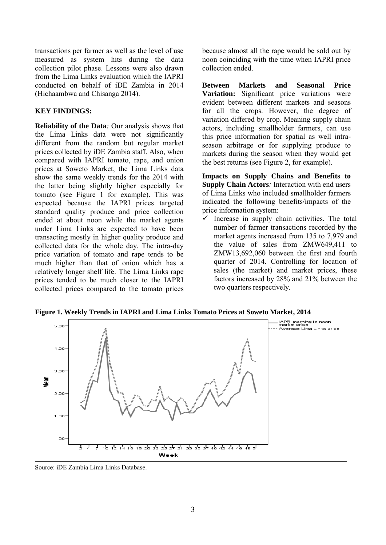transactions per farmer as well as the level of use measured as system hits during the data collection pilot phase. Lessons were also drawn from the Lima Links evaluation which the IAPRI conducted on behalf of iDE Zambia in 2014 (Hichaambwa and Chisanga 2014).

#### **KEY FINDINGS:**

**Reliability of the Data***:* Our analysis shows that the Lima Links data were not significantly different from the random but regular market prices collected by iDE Zambia staff. Also, when compared with IAPRI tomato, rape, and onion prices at Soweto Market, the Lima Links data show the same weekly trends for the 2014 with the latter being slightly higher especially for tomato (see Figure 1 for example). This was expected because the IAPRI prices targeted standard quality produce and price collection ended at about noon while the market agents under Lima Links are expected to have been transacting mostly in higher quality produce and collected data for the whole day. The intra-day price variation of tomato and rape tends to be much higher than that of onion which has a relatively longer shelf life. The Lima Links rape prices tended to be much closer to the IAPRI collected prices compared to the tomato prices

because almost all the rape would be sold out by noon coinciding with the time when IAPRI price collection ended.

**Between Markets and Seasonal Price Variation:** Significant price variations were evident between different markets and seasons for all the crops. However, the degree of variation differed by crop. Meaning supply chain actors, including smallholder farmers, can use this price information for spatial as well intraseason arbitrage or for supplying produce to markets during the season when they would get the best returns (see Figure 2, for example).

**Impacts on Supply Chains and Benefits to Supply Chain Actors***:* Interaction with end users of Lima Links who included smallholder farmers indicated the following benefits/impacts of the price information system:

 $\checkmark$  Increase in supply chain activities. The total number of farmer transactions recorded by the market agents increased from 135 to 7,979 and the value of sales from ZMW649,411 to ZMW13,692,060 between the first and fourth quarter of 2014. Controlling for location of sales (the market) and market prices, these factors increased by 28% and 21% between the two quarters respectively.



**Figure 1. Weekly Trends in IAPRI and Lima Links Tomato Prices at Soweto Market, 2014**

Source: iDE Zambia Lima Links Database.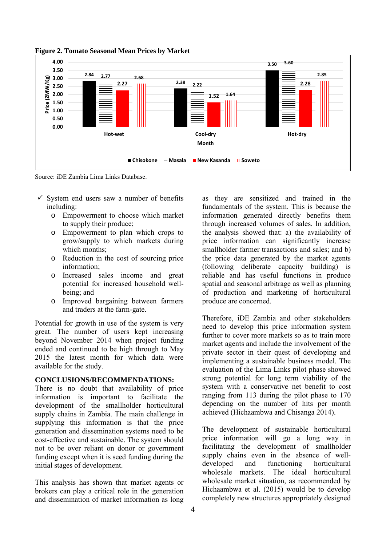

**Figure 2. Tomato Seasonal Mean Prices by Market**

Source: iDE Zambia Lima Links Database.

- $\checkmark$  System end users saw a number of benefits including:
	- o Empowerment to choose which market to supply their produce;
	- o Empowerment to plan which crops to grow/supply to which markets during which months:
	- o Reduction in the cost of sourcing price information;
	- o Increased sales income and great potential for increased household wellbeing; and
	- o Improved bargaining between farmers and traders at the farm-gate.

Potential for growth in use of the system is very great. The number of users kept increasing beyond November 2014 when project funding ended and continued to be high through to May 2015 the latest month for which data were available for the study.

#### **CONCLUSIONS/RECOMMENDATIONS:**

There is no doubt that availability of price information is important to facilitate the development of the smallholder horticultural supply chains in Zambia. The main challenge in supplying this information is that the price generation and dissemination systems need to be cost-effective and sustainable. The system should not to be over reliant on donor or government funding except when it is seed funding during the initial stages of development.

This analysis has shown that market agents or brokers can play a critical role in the generation and dissemination of market information as long as they are sensitized and trained in the fundamentals of the system. This is because the information generated directly benefits them through increased volumes of sales. In addition, the analysis showed that: a) the availability of price information can significantly increase smallholder farmer transactions and sales; and b) the price data generated by the market agents (following deliberate capacity building) is reliable and has useful functions in produce spatial and seasonal arbitrage as well as planning of production and marketing of horticultural produce are concerned.

Therefore, iDE Zambia and other stakeholders need to develop this price information system further to cover more markets so as to train more market agents and include the involvement of the private sector in their quest of developing and implementing a sustainable business model. The evaluation of the Lima Links pilot phase showed strong potential for long term viability of the system with a conservative net benefit to cost ranging from 113 during the pilot phase to 170 depending on the number of hits per month achieved (Hichaambwa and Chisanga 2014).

The development of sustainable horticultural price information will go a long way in facilitating the development of smallholder supply chains even in the absence of welldeveloped and functioning horticultural wholesale markets. The ideal horticultural wholesale market situation, as recommended by Hichaambwa et al. (2015) would be to develop completely new structures appropriately designed